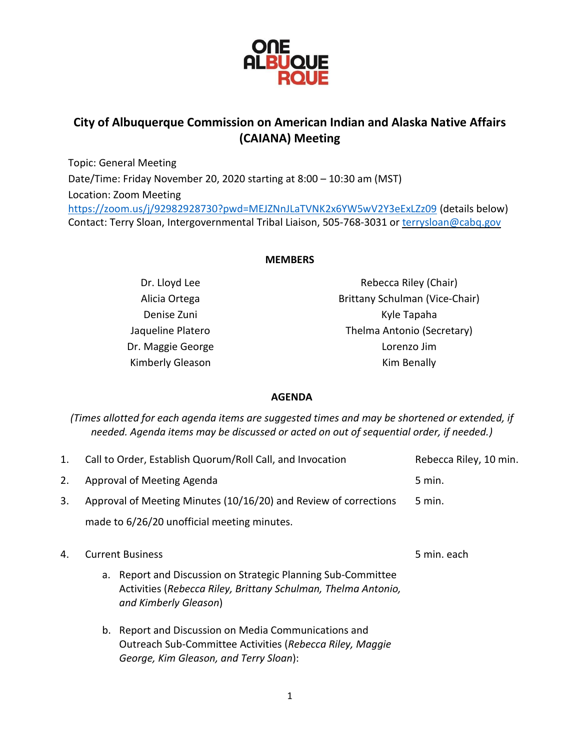

# **City of Albuquerque Commission on American Indian and Alaska Native Affairs (CAIANA) Meeting**

Topic: General Meeting Date/Time: Friday November 20, 2020 starting at 8:00 – 10:30 am (MST) Location: Zoom Meeting <https://zoom.us/j/92982928730?pwd=MEJZNnJLaTVNK2x6YW5wV2Y3eExLZz09> (details below) Contact: Terry Sloan, Intergovernmental Tribal Liaison, 505-768-3031 or [terrysloan@cabq.gov](mailto:terrysloan@cabq.gov)

## **MEMBERS**

Dr. Lloyd Lee Alicia Ortega Denise Zuni Jaqueline Platero Dr. Maggie George Kimberly Gleason

Rebecca Riley (Chair) Brittany Schulman (Vice-Chair) Kyle Tapaha Thelma Antonio (Secretary) Lorenzo Jim Kim Benally

### **AGENDA**

*(Times allotted for each agenda items are suggested times and may be shortened or extended, if needed. Agenda items may be discussed or acted on out of sequential order, if needed.)*

| 1. | Call to Order, Establish Quorum/Roll Call, and Invocation        |                                                                                                                                                            | Rebecca Riley, 10 min. |
|----|------------------------------------------------------------------|------------------------------------------------------------------------------------------------------------------------------------------------------------|------------------------|
| 2. | Approval of Meeting Agenda                                       |                                                                                                                                                            | 5 min.                 |
| 3. | Approval of Meeting Minutes (10/16/20) and Review of corrections |                                                                                                                                                            | $5 \text{ min}$ .      |
|    | made to 6/26/20 unofficial meeting minutes.                      |                                                                                                                                                            |                        |
| 4. | <b>Current Business</b>                                          |                                                                                                                                                            | 5 min. each            |
|    |                                                                  | a. Report and Discussion on Strategic Planning Sub-Committee<br>Activities (Rebecca Riley, Brittany Schulman, Thelma Antonio,<br>and Kimberly Gleason)     |                        |
|    |                                                                  | b. Report and Discussion on Media Communications and<br>Outreach Sub-Committee Activities (Rebecca Riley, Maggie<br>George, Kim Gleason, and Terry Sloan): |                        |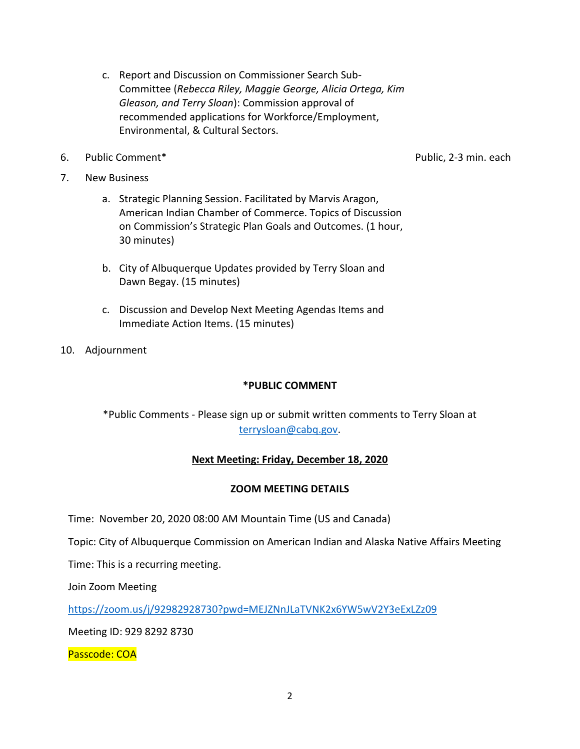- c. Report and Discussion on Commissioner Search Sub-Committee (*Rebecca Riley, Maggie George, Alicia Ortega, Kim Gleason, and Terry Sloan*): Commission approval of recommended applications for Workforce/Employment, Environmental, & Cultural Sectors.
- 6. Public Comment\* Public, 2-3 min. each

- 7. New Business
	- a. Strategic Planning Session. Facilitated by Marvis Aragon, American Indian Chamber of Commerce. Topics of Discussion on Commission's Strategic Plan Goals and Outcomes. (1 hour, 30 minutes)
	- b. City of Albuquerque Updates provided by Terry Sloan and Dawn Begay. (15 minutes)
	- c. Discussion and Develop Next Meeting Agendas Items and Immediate Action Items. (15 minutes)
- 10. Adjournment

### **\*PUBLIC COMMENT**

\*Public Comments - Please sign up or submit written comments to Terry Sloan at [terrysloan@cabq.gov.](mailto:terrysloan@cabq.gov)

### **Next Meeting: Friday, December 18, 2020**

### **ZOOM MEETING DETAILS**

Time: November 20, 2020 08:00 AM Mountain Time (US and Canada)

Topic: City of Albuquerque Commission on American Indian and Alaska Native Affairs Meeting

Time: This is a recurring meeting.

Join Zoom Meeting

<https://zoom.us/j/92982928730?pwd=MEJZNnJLaTVNK2x6YW5wV2Y3eExLZz09>

Meeting ID: 929 8292 8730

Passcode: COA